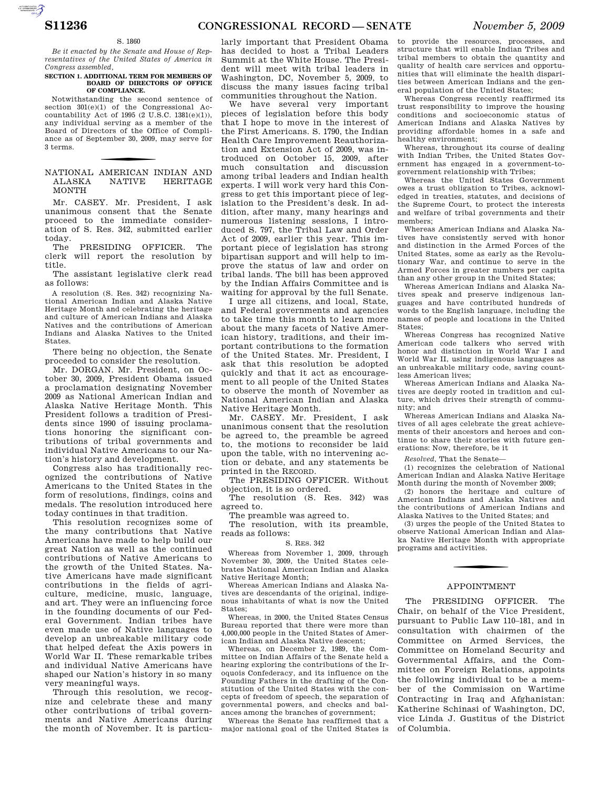## S. 1860

*Be it enacted by the Senate and House of Representatives of the United States of America in Congress assembled,* 

#### **SECTION 1. ADDITIONAL TERM FOR MEMBERS OF BOARD OF DIRECTORS OF OFFICE OF COMPLIANCE.**

Notwithstanding the second sentence of section 301(e)(1) of the Congressional Accountability Act of 1995 (2 U.S.C. 1381(e)(1)), any individual serving as a member of the Board of Directors of the Office of Compliance as of September 30, 2009, may serve for 3 terms.

## NATIONAL AMERICAN INDIAN AND ALASKA NATIVE HERITAGE MONTH

Mr. CASEY. Mr. President, I ask unanimous consent that the Senate proceed to the immediate consideration of S. Res. 342, submitted earlier today.

PRESIDING OFFICER. The clerk will report the resolution by title.

The assistant legislative clerk read as follows:

A resolution (S. Res. 342) recognizing National American Indian and Alaska Native Heritage Month and celebrating the heritage and culture of American Indians and Alaska Natives and the contributions of American Indians and Alaska Natives to the United States.

There being no objection, the Senate proceeded to consider the resolution.

Mr. DORGAN. Mr. President, on October 30, 2009, President Obama issued a proclamation designating November 2009 as National American Indian and Alaska Native Heritage Month. This President follows a tradition of Presidents since 1990 of issuing proclamations honoring the significant contributions of tribal governments and individual Native Americans to our Nation's history and development.

Congress also has traditionally recognized the contributions of Native Americans to the United States in the form of resolutions, findings, coins and medals. The resolution introduced here today continues in that tradition.

This resolution recognizes some of the many contributions that Native Americans have made to help build our great Nation as well as the continued contributions of Native Americans to the growth of the United States. Native Americans have made significant contributions in the fields of agriculture, medicine, music, language, and art. They were an influencing force in the founding documents of our Federal Government. Indian tribes have even made use of Native languages to develop an unbreakable military code that helped defeat the Axis powers in World War II. These remarkable tribes and individual Native Americans have shaped our Nation's history in so many very meaningful ways.

Through this resolution, we recognize and celebrate these and many other contributions of tribal governments and Native Americans during the month of November. It is particu-

larly important that President Obama has decided to host a Tribal Leaders Summit at the White House. The President will meet with tribal leaders in Washington, DC, November 5, 2009, to discuss the many issues facing tribal communities throughout the Nation.

We have several very important pieces of legislation before this body that I hope to move in the interest of the First Americans. S. 1790, the Indian Health Care Improvement Reauthorization and Extension Act of 2009, was introduced on October 15, 2009, after much consultation and discussion among tribal leaders and Indian health experts. I will work very hard this Congress to get this important piece of legislation to the President's desk. In addition, after many, many hearings and numerous listening sessions, I introduced S. 797, the Tribal Law and Order Act of 2009, earlier this year. This important piece of legislation has strong bipartisan support and will help to improve the status of law and order on tribal lands. The bill has been approved by the Indian Affairs Committee and is waiting for approval by the full Senate.

I urge all citizens, and local, State, and Federal governments and agencies to take time this month to learn more about the many facets of Native American history, traditions, and their important contributions to the formation of the United States. Mr. President, I ask that this resolution be adopted quickly and that it act as encouragement to all people of the United States to observe the month of November as National American Indian and Alaska Native Heritage Month.

Mr. CASEY. Mr. President, I ask unanimous consent that the resolution be agreed to, the preamble be agreed to, the motions to reconsider be laid upon the table, with no intervening action or debate, and any statements be printed in the RECORD.

The PRESIDING OFFICER. Without objection, it is so ordered.

The resolution (S. Res. 342) was agreed to.

The preamble was agreed to.

The resolution, with its preamble, reads as follows:

## S. RES. 342

Whereas from November 1, 2009, through November 30, 2009, the United States celebrates National American Indian and Alaska Native Heritage Month;

Whereas American Indians and Alaska Natives are descendants of the original, indigenous inhabitants of what is now the United States;

Whereas, in 2000, the United States Census Bureau reported that there were more than 4,000,000 people in the United States of American Indian and Alaska Native descent;

Whereas, on December 2, 1989, the Committee on Indian Affairs of the Senate held a hearing exploring the contributions of the Iroquois Confederacy, and its influence on the Founding Fathers in the drafting of the Constitution of the United States with the concepts of freedom of speech, the separation of governmental powers, and checks and balances among the branches of government;

Whereas the Senate has reaffirmed that a major national goal of the United States is

to provide the resources, processes, and structure that will enable Indian Tribes and tribal members to obtain the quantity and quality of health care services and opportunities that will eliminate the health disparities between American Indians and the general population of the United States;

Whereas Congress recently reaffirmed its trust responsibility to improve the housing conditions and socioeconomic status of American Indians and Alaska Natives by providing affordable homes in a safe and healthy environment;

Whereas, throughout its course of dealing with Indian Tribes, the United States Government has engaged in a government-togovernment relationship with Tribes;

Whereas the United States Government owes a trust obligation to Tribes, acknowledged in treaties, statutes, and decisions of the Supreme Court, to protect the interests and welfare of tribal governments and their members;

Whereas American Indians and Alaska Natives have consistently served with honor and distinction in the Armed Forces of the United States, some as early as the Revolutionary War, and continue to serve in the Armed Forces in greater numbers per capita than any other group in the United States;

Whereas American Indians and Alaska Natives speak and preserve indigenous languages and have contributed hundreds of words to the English language, including the names of people and locations in the United States:

Whereas Congress has recognized Native American code talkers who served with honor and distinction in World War I and World War II, using indigenous languages as an unbreakable military code, saving countless American lives;

Whereas American Indians and Alaska Natives are deeply rooted in tradition and culture, which drives their strength of community; and

Whereas American Indians and Alaska Natives of all ages celebrate the great achievements of their ancestors and heroes and continue to share their stories with future generations: Now, therefore, be it

*Resolved,* That the Senate—

(1) recognizes the celebration of National American Indian and Alaska Native Heritage Month during the month of November 2009;

(2) honors the heritage and culture of American Indians and Alaska Natives and the contributions of American Indians and Alaska Natives to the United States; and

(3) urges the people of the United States to observe National American Indian and Alaska Native Heritage Month with appropriate programs and activities.

## APPOINTMENT

The PRESIDING OFFICER. The Chair, on behalf of the Vice President, pursuant to Public Law 110–181, and in consultation with chairmen of the Committee on Armed Services, the Committee on Homeland Security and Governmental Affairs, and the Committee on Foreign Relations, appoints the following individual to be a member of the Commission on Wartime Contracting in Iraq and Afghanistan: Katherine Schinasi of Washington, DC, vice Linda J. Gustitus of the District of Columbia.

AUTOROTOMICALE CONTINUES